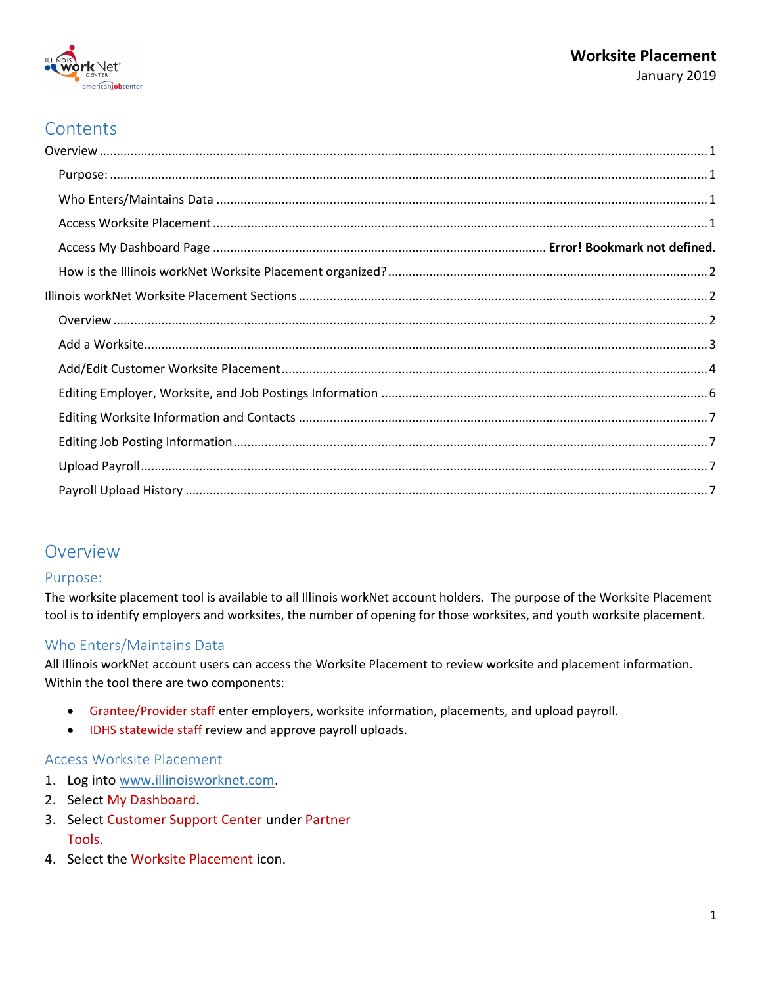

# **Contents**

## <span id="page-0-0"></span>Overview

### <span id="page-0-1"></span>Purpose:

The worksite placement tool is available to all Illinois workNet account holders. The purpose of the Worksite Placement tool is to identify employers and worksites, the number of opening for those worksites, and youth worksite placement.

## <span id="page-0-2"></span>Who Enters/Maintains Data

All Illinois workNet account users can access the Worksite Placement to review worksite and placement information. Within the tool there are two components:

- Grantee/Provider staff enter employers, worksite information, placements, and upload payroll.
- IDHS statewide staff review and approve payroll uploads.

### <span id="page-0-3"></span>Access Worksite Placement

- 1. Log into [www.illinoisworknet.com.](http://www.illinoisworknet.com/)
- 2. Select My Dashboard.
- 3. Select Customer Support Center under Partner Tools.
- 4. Select the Worksite Placement icon.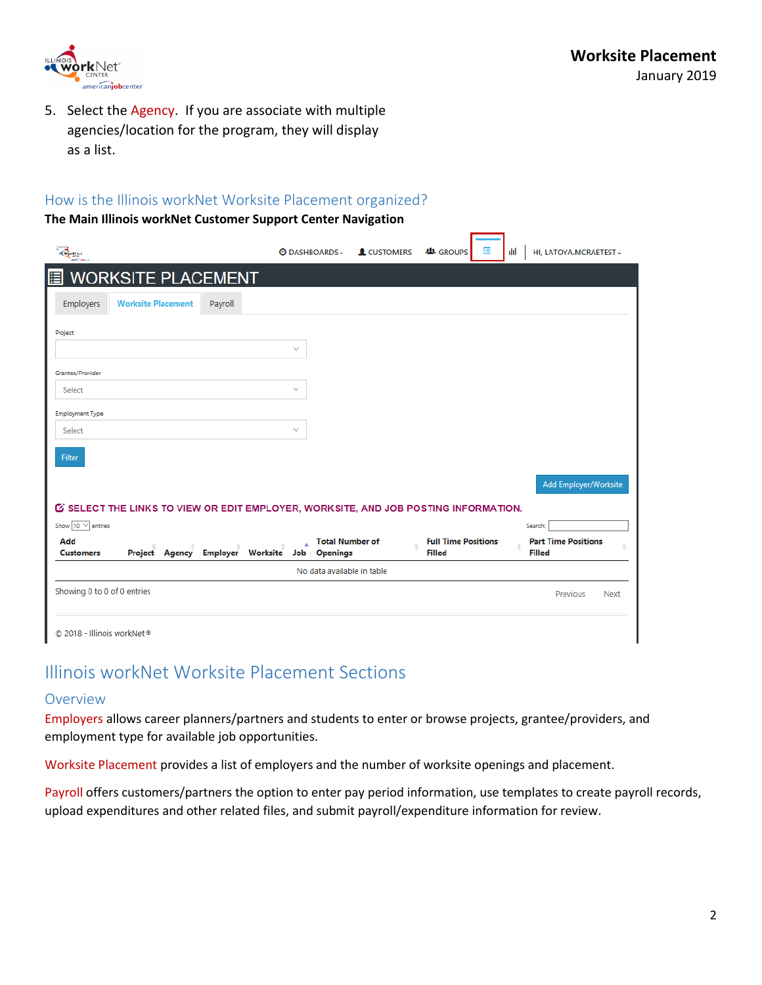

5. Select the Agency. If you are associate with multiple agencies/location for the program, they will display as a list.

## <span id="page-1-0"></span>How is the Illinois workNet Worksite Placement organized?

#### **The Main Illinois workNet Customer Support Center Navigation**

| $\overbrace{\text{Cov}}^{\text{pred}}$                                                      | <b>ODASHBOARDS-</b>                | <b>L</b> CUSTOMERS | <b>基 GROUPS</b>            | 目<br>alıl | HI. LATOYA.MCRAETEST -                |
|---------------------------------------------------------------------------------------------|------------------------------------|--------------------|----------------------------|-----------|---------------------------------------|
| <b>WORKSITE PLACEMENT</b><br>目                                                              |                                    |                    |                            |           |                                       |
| <b>Worksite Placement</b><br>Employers<br>Payroll                                           |                                    |                    |                            |           |                                       |
| Project                                                                                     |                                    |                    |                            |           |                                       |
|                                                                                             | $\checkmark$                       |                    |                            |           |                                       |
| Grantee/Provider                                                                            |                                    |                    |                            |           |                                       |
| Select                                                                                      | $\checkmark$                       |                    |                            |           |                                       |
| <b>Employment Type</b>                                                                      |                                    |                    |                            |           |                                       |
| Select                                                                                      | $\checkmark$                       |                    |                            |           |                                       |
| Filter                                                                                      |                                    |                    |                            |           |                                       |
|                                                                                             |                                    |                    |                            |           |                                       |
|                                                                                             |                                    |                    |                            |           | Add Employer/Worksite                 |
| <b>IS SELECT THE LINKS TO VIEW OR EDIT EMPLOYER, WORKSITE, AND JOB POSTING INFORMATION.</b> |                                    |                    |                            |           |                                       |
| Show $10 \vee$ entries<br>Add                                                               | <b>Total Number of</b><br>$\Delta$ |                    | <b>Full Time Positions</b> |           | Search:<br><b>Part Time Positions</b> |
| <b>Employer Worksite</b><br>Project Agency<br><b>Customers</b>                              | <b>Openings</b><br>Job             |                    | <b>Filled</b>              |           | <b>Filled</b>                         |
|                                                                                             | No data available in table         |                    |                            |           |                                       |
| Showing 0 to 0 of 0 entries                                                                 |                                    |                    |                            |           | Previous<br><b>Next</b>               |
|                                                                                             |                                    |                    |                            |           |                                       |
| © 2018 - Illinois workNet <sup>®</sup>                                                      |                                    |                    |                            |           |                                       |

# <span id="page-1-1"></span>Illinois workNet Worksite Placement Sections

#### <span id="page-1-2"></span>Overview

Employers allows career planners/partners and students to enter or browse projects, grantee/providers, and employment type for available job opportunities.

Worksite Placement provides a list of employers and the number of worksite openings and placement.

Payroll offers customers/partners the option to enter pay period information, use templates to create payroll records, upload expenditures and other related files, and submit payroll/expenditure information for review.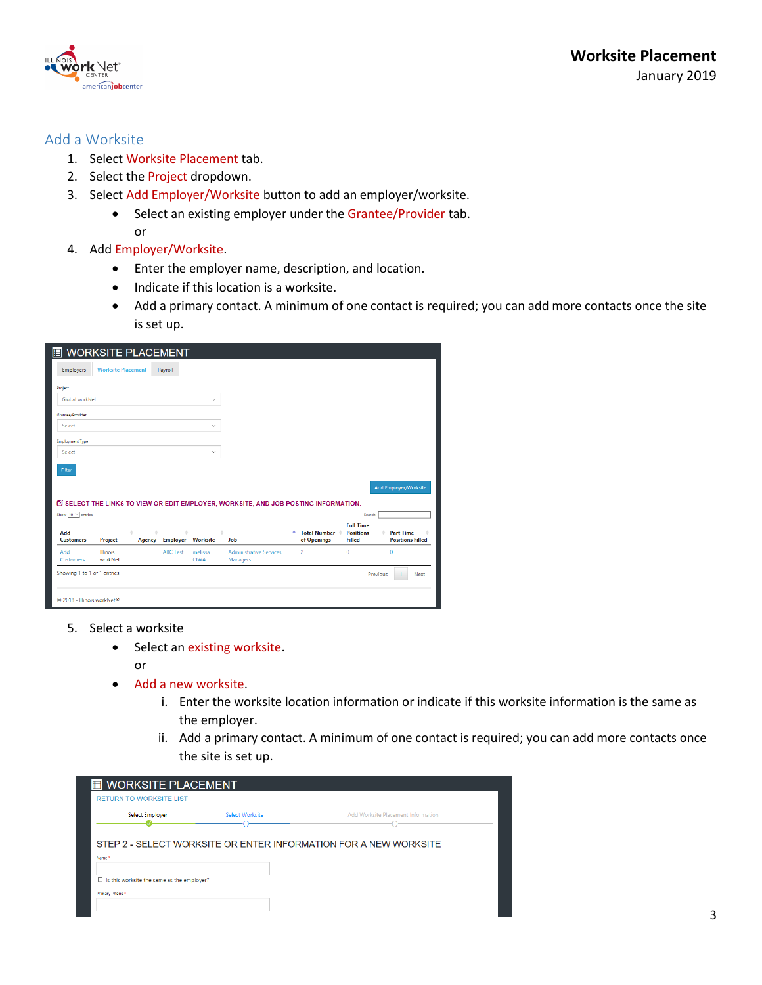

## <span id="page-2-0"></span>Add a Worksite

- 1. Select Worksite Placement tab.
- 2. Select the Project dropdown.
- 3. Select Add Employer/Worksite button to add an employer/worksite.
	- Select an existing employer under the Grantee/Provider tab. or
- 4. Add Employer/Worksite.
	- Enter the employer name, description, and location.
	- Indicate if this location is a worksite.
	- Add a primary contact. A minimum of one contact is required; you can add more contacts once the site is set up.

| <b>WORKSITE PLACEMENT</b><br>目                                                              |                                                                         |                               |                                            |                                  |                                        |                                             |
|---------------------------------------------------------------------------------------------|-------------------------------------------------------------------------|-------------------------------|--------------------------------------------|----------------------------------|----------------------------------------|---------------------------------------------|
| <b>Worksite Placement</b><br>Employers                                                      | Payroll                                                                 |                               |                                            |                                  |                                        |                                             |
| Project                                                                                     |                                                                         |                               |                                            |                                  |                                        |                                             |
| Global workNet                                                                              |                                                                         | $\checkmark$                  |                                            |                                  |                                        |                                             |
| Grantee/Provider                                                                            |                                                                         |                               |                                            |                                  |                                        |                                             |
| Select                                                                                      |                                                                         | $\checkmark$                  |                                            |                                  |                                        |                                             |
| <b>Employment Type</b>                                                                      |                                                                         |                               |                                            |                                  |                                        |                                             |
| Select                                                                                      |                                                                         | $\checkmark$                  |                                            |                                  |                                        |                                             |
| Filter                                                                                      |                                                                         |                               |                                            |                                  |                                        |                                             |
|                                                                                             |                                                                         |                               |                                            |                                  |                                        |                                             |
|                                                                                             |                                                                         |                               |                                            |                                  |                                        | <b>Add Employer/Worksite</b>                |
| <b>IS SELECT THE LINKS TO VIEW OR EDIT EMPLOYER, WORKSITE, AND JOB POSTING INFORMATION.</b> |                                                                         |                               |                                            |                                  |                                        |                                             |
| Show $10 \vee$ entries                                                                      |                                                                         |                               |                                            |                                  | Search:<br><b>Full Time</b>            |                                             |
| Add<br>ó<br><b>Customers</b><br>Project                                                     | $\triangleq$<br>$\begin{array}{c} \circ \\ \circ \end{array}$<br>Agency | ó<br><b>Employer Worksite</b> | <b>Job</b>                                 | ٨<br>Total Number<br>of Openings | <b>Positions</b><br>÷<br><b>Filled</b> | <b>Part Time</b><br><b>Positions Filled</b> |
| Illinois<br>Add<br>workNet<br>Customers                                                     | <b>ABC Test</b>                                                         | melissa<br><b>CIWA</b>        | <b>Administrative Services</b><br>Managers | $\overline{2}$                   | $\mathbf{0}$                           | 0                                           |
| Showing 1 to 1 of 1 entries                                                                 |                                                                         |                               |                                            |                                  | Previous                               | Next<br>1                                   |
| © 2018 - Illinois workNet®                                                                  |                                                                         |                               |                                            |                                  |                                        |                                             |

- 5. Select a worksite
	- Select an existing worksite.
		- or
	- Add a new worksite.
		- i. Enter the worksite location information or indicate if this worksite information is the same as the employer.
		- ii. Add a primary contact. A minimum of one contact is required; you can add more contacts once the site is set up.

| <b>WORKSITE PLACEMENT</b><br>圍<br><b>RETURN TO WORKSITE LIST</b> |                        |                                                                  |
|------------------------------------------------------------------|------------------------|------------------------------------------------------------------|
| <b>Select Employer</b>                                           | <b>Select Worksite</b> | Add Worksite Placement Information                               |
| Name *                                                           |                        | STEP 2 - SELECT WORKSITE OR ENTER INFORMATION FOR A NEW WORKSITE |
|                                                                  |                        |                                                                  |
| $\Box$ Is this worksite the same as the employer?                |                        |                                                                  |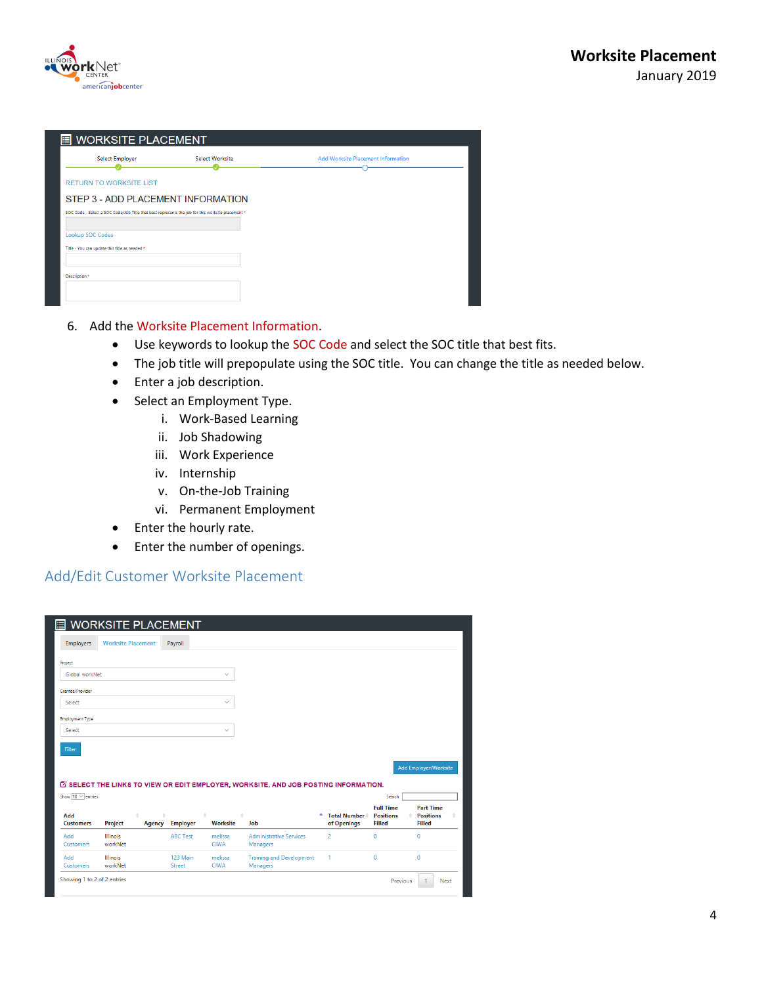

| <b>E</b> WORKSITE PLACEMENT                                                                       |                 |                                           |
|---------------------------------------------------------------------------------------------------|-----------------|-------------------------------------------|
| Select Employer                                                                                   | Select Worksite | <b>Add Worksite Placement Information</b> |
| <b>RETURN TO WORKSITE LIST</b>                                                                    |                 |                                           |
| STEP 3 - ADD PLACEMENT INFORMATION                                                                |                 |                                           |
| SOC Code - Select a SOC Code/Job Title that best represents the job for this worksite placement * |                 |                                           |
| Lookup SOC Codes                                                                                  |                 |                                           |
| Title - You can update this title as needed *                                                     |                 |                                           |
| Description <sup>*</sup>                                                                          |                 |                                           |

#### 6. Add the Worksite Placement Information.

- Use keywords to lookup the SOC Code and select the SOC title that best fits.
- The job title will prepopulate using the SOC title. You can change the title as needed below.
- Enter a job description.
- Select an Employment Type.
	- i. Work-Based Learning
	- ii. Job Shadowing
	- iii. Work Experience
	- iv. Internship
	- v. On-the-Job Training
	- vi. Permanent Employment
- Enter the hourly rate.
- Enter the number of openings.

## <span id="page-3-0"></span>Add/Edit Customer Worksite Placement

| Employers               | <b>Worksite Placement</b>  |                   | Payroll         |                        |                                                                                             |                                    |                                   |                                   |  |
|-------------------------|----------------------------|-------------------|-----------------|------------------------|---------------------------------------------------------------------------------------------|------------------------------------|-----------------------------------|-----------------------------------|--|
|                         |                            |                   |                 |                        |                                                                                             |                                    |                                   |                                   |  |
| Project                 |                            |                   |                 |                        |                                                                                             |                                    |                                   |                                   |  |
| Global workNet          |                            |                   |                 | $\checkmark$           |                                                                                             |                                    |                                   |                                   |  |
| Grantee/Provider        |                            |                   |                 |                        |                                                                                             |                                    |                                   |                                   |  |
| Select                  |                            |                   |                 | $\checkmark$           |                                                                                             |                                    |                                   |                                   |  |
| <b>Employment Type</b>  |                            |                   |                 |                        |                                                                                             |                                    |                                   |                                   |  |
| Select                  |                            |                   |                 | $\checkmark$           |                                                                                             |                                    |                                   |                                   |  |
|                         |                            |                   |                 |                        |                                                                                             |                                    |                                   |                                   |  |
|                         |                            |                   |                 |                        |                                                                                             |                                    |                                   |                                   |  |
| Filter                  |                            |                   |                 |                        |                                                                                             |                                    |                                   |                                   |  |
|                         |                            |                   |                 |                        |                                                                                             |                                    |                                   |                                   |  |
|                         |                            |                   |                 |                        |                                                                                             |                                    |                                   | Add Employer/Worksite             |  |
|                         |                            |                   |                 |                        | <b>IS SELECT THE LINKS TO VIEW OR EDIT EMPLOYER, WORKSITE, AND JOB POSTING INFORMATION.</b> |                                    |                                   |                                   |  |
| Show $10 \vee$ entries  |                            |                   |                 |                        |                                                                                             |                                    | Search:                           |                                   |  |
|                         |                            |                   |                 |                        |                                                                                             |                                    | <b>Full Time</b>                  | <b>Part Time</b>                  |  |
| Add<br><b>Customers</b> | Project                    | ó.<br>÷<br>Agency | <b>Employer</b> | ÷<br><b>Worksite</b>   | Job                                                                                         | <b>Total Number</b><br>of Openings | <b>Positions</b><br><b>Filled</b> | <b>Positions</b><br><b>Filled</b> |  |
| Add                     | <b>Illinois</b>            |                   | <b>ABC Test</b> | melissa                | <b>Administrative Services</b>                                                              | $\overline{2}$                     | $\mathbf 0$                       | $\bf{0}$                          |  |
| Customers               | workNet                    |                   |                 | <b>CIWA</b>            | Managers                                                                                    |                                    |                                   |                                   |  |
| Add                     | <b>Illinois</b><br>workNet |                   | 123 Main        | melissa<br><b>CIWA</b> | <b>Training and Development</b>                                                             | 1                                  | $\mathbf{0}$                      | $\mathbf{0}$                      |  |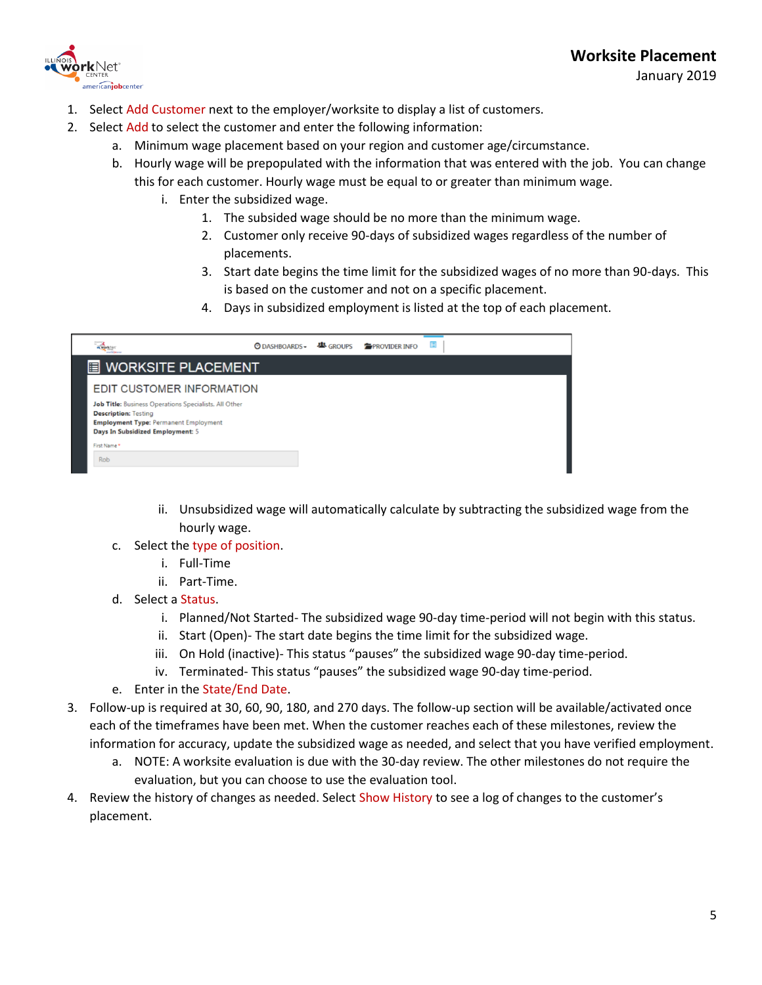

January 2019

- 1. Select Add Customer next to the employer/worksite to display a list of customers.
- 2. Select Add to select the customer and enter the following information:
	- a. Minimum wage placement based on your region and customer age/circumstance.
	- b. Hourly wage will be prepopulated with the information that was entered with the job. You can change this for each customer. Hourly wage must be equal to or greater than minimum wage.
		- i. Enter the subsidized wage.
			- 1. The subsided wage should be no more than the minimum wage.
			- 2. Customer only receive 90-days of subsidized wages regardless of the number of placements.
			- 3. Start date begins the time limit for the subsidized wages of no more than 90-days. This is based on the customer and not on a specific placement.
			- 4. Days in subsidized employment is listed at the top of each placement.

|                                                                                                                                                                                                              |  | <b>② DASHBOARDS → 些 GROUPS ● PROVIDER INFO</b> | ▣ |
|--------------------------------------------------------------------------------------------------------------------------------------------------------------------------------------------------------------|--|------------------------------------------------|---|
| <b>E</b> WORKSITE PLACEMENT                                                                                                                                                                                  |  |                                                |   |
| <b>EDIT CUSTOMER INFORMATION</b><br>Job Title: Business Operations Specialists, All Other<br><b>Description: Testing</b><br><b>Employment Type: Permanent Employment</b><br>Days In Subsidized Employment: 5 |  |                                                |   |
| First Name*<br><b>Rob</b>                                                                                                                                                                                    |  |                                                |   |

- ii. Unsubsidized wage will automatically calculate by subtracting the subsidized wage from the hourly wage.
- c. Select the type of position.
	- i. Full-Time
	- ii. Part-Time.
- d. Select a Status.
	- i. Planned/Not Started- The subsidized wage 90-day time-period will not begin with this status.
	- ii. Start (Open)- The start date begins the time limit for the subsidized wage.
	- iii. On Hold (inactive)- This status "pauses" the subsidized wage 90-day time-period.
	- iv. Terminated- This status "pauses" the subsidized wage 90-day time-period.
- e. Enter in the State/End Date.
- 3. Follow-up is required at 30, 60, 90, 180, and 270 days. The follow-up section will be available/activated once each of the timeframes have been met. When the customer reaches each of these milestones, review the information for accuracy, update the subsidized wage as needed, and select that you have verified employment.
	- a. NOTE: A worksite evaluation is due with the 30-day review. The other milestones do not require the evaluation, but you can choose to use the evaluation tool.
- 4. Review the history of changes as needed. Select Show History to see a log of changes to the customer's placement.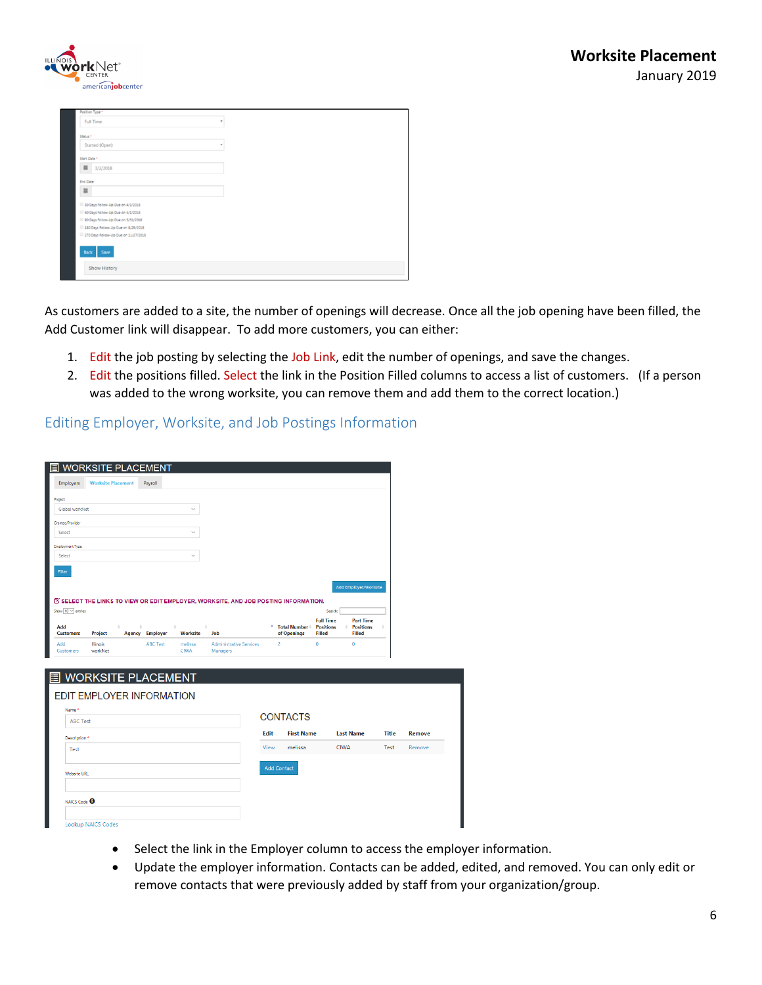

| Position Type *                      |   |
|--------------------------------------|---|
| <b>Full Time</b>                     | ٠ |
| Status *                             |   |
| Started (Open)                       | ٠ |
| Start Date *                         |   |
| $\equiv$<br>3/2/2018                 |   |
| <b>End Date</b>                      |   |
| $\equiv$                             |   |
| 30 Days Follow-Up Due on 4/1/2018    |   |
| 60 Days Follow-Up Due on 5/1/2018    |   |
| 90 Days Follow-Up Due on 5/31/2018   |   |
| 180 Days Follow-Up Due on 8/29/2018  |   |
| 270 Days Follow-Up Due on 11/27/2018 |   |
| Back Save                            |   |
| <b>Show History</b>                  |   |
|                                      |   |

As customers are added to a site, the number of openings will decrease. Once all the job opening have been filled, the Add Customer link will disappear. To add more customers, you can either:

- 1. Edit the job posting by selecting the Job Link, edit the number of openings, and save the changes.
- 2. Edit the positions filled. Select the link in the Position Filled columns to access a list of customers. (If a person was added to the wrong worksite, you can remove them and add them to the correct location.)

## <span id="page-5-0"></span>Editing Employer, Worksite, and Job Postings Information

| 眉                                           | <b>WORKSITE PLACEMENT</b>             |            |                                               |                                           |                                                                                             |             |                               |                                                       |                                                             |              |        |
|---------------------------------------------|---------------------------------------|------------|-----------------------------------------------|-------------------------------------------|---------------------------------------------------------------------------------------------|-------------|-------------------------------|-------------------------------------------------------|-------------------------------------------------------------|--------------|--------|
| <b>Employers</b>                            | <b>Worksite Placement</b>             |            | Payroll                                       |                                           |                                                                                             |             |                               |                                                       |                                                             |              |        |
| Project                                     |                                       |            |                                               |                                           |                                                                                             |             |                               |                                                       |                                                             |              |        |
| Global workNet                              |                                       |            |                                               |                                           |                                                                                             |             |                               |                                                       |                                                             |              |        |
| Grantee/Provider                            |                                       |            |                                               |                                           |                                                                                             |             |                               |                                                       |                                                             |              |        |
| Select                                      |                                       |            |                                               |                                           |                                                                                             |             |                               |                                                       |                                                             |              |        |
| Employment Type                             |                                       |            |                                               |                                           |                                                                                             |             |                               |                                                       |                                                             |              |        |
| Select                                      |                                       |            |                                               |                                           |                                                                                             |             |                               |                                                       |                                                             |              |        |
| Filter                                      |                                       |            |                                               |                                           |                                                                                             |             |                               |                                                       |                                                             |              |        |
|                                             |                                       |            |                                               |                                           |                                                                                             |             |                               |                                                       | Add Employer/Worksite                                       |              |        |
|                                             |                                       |            |                                               |                                           | <b>IS SELECT THE LINKS TO VIEW OR EDIT EMPLOYER, WORKSITE, AND JOB POSTING INFORMATION.</b> |             |                               |                                                       |                                                             |              |        |
| Show $10 \vee$ entries                      |                                       |            |                                               |                                           |                                                                                             |             |                               | Search:                                               |                                                             |              |        |
| Add                                         |                                       | $\Diamond$ | $\begin{array}{c} \circ \\ \circ \end{array}$ | ÷                                         | Job                                                                                         | ۸           | <b>Total Number</b>           | <b>Full Time</b><br><b>Positions</b><br><b>Filled</b> | <b>Part Time</b><br><b>Positions</b><br>÷.<br><b>Filled</b> |              |        |
| <b>Customers</b><br>Add<br><b>Customers</b> | Project<br><b>Illinois</b><br>workNet |            | <b>Agency</b> Employer<br><b>ABC Test</b>     | <b>Worksite</b><br>melissa<br><b>CIWA</b> | <b>Administrative Services</b><br>Managers                                                  |             | of Openings<br>$\overline{2}$ | $\circ$                                               | $\bullet$                                                   |              |        |
|                                             |                                       |            |                                               |                                           |                                                                                             |             |                               |                                                       |                                                             |              |        |
| 旧                                           |                                       |            | <b>WORKSITE PLACEMENT</b>                     |                                           |                                                                                             |             |                               |                                                       |                                                             |              |        |
|                                             |                                       |            |                                               |                                           |                                                                                             |             |                               |                                                       |                                                             |              |        |
|                                             |                                       |            | <b>EDIT EMPLOYER INFORMATION</b>              |                                           |                                                                                             |             |                               |                                                       |                                                             |              |        |
| Name*                                       |                                       |            |                                               |                                           |                                                                                             |             | <b>CONTACTS</b>               |                                                       |                                                             |              |        |
| <b>ABC Test</b>                             |                                       |            |                                               |                                           |                                                                                             |             |                               |                                                       |                                                             |              |        |
| Description *                               |                                       |            |                                               |                                           |                                                                                             | <b>Edit</b> | <b>First Name</b>             |                                                       | <b>Last Name</b>                                            | <b>Title</b> | Remove |
| Test                                        |                                       |            |                                               |                                           |                                                                                             | View        | melissa                       |                                                       | <b>CIWA</b>                                                 | Test         | Remove |
|                                             |                                       |            |                                               |                                           |                                                                                             |             |                               |                                                       |                                                             |              |        |
| <b>Website URL</b>                          |                                       |            |                                               |                                           |                                                                                             |             | <b>Add Contact</b>            |                                                       |                                                             |              |        |
|                                             |                                       |            |                                               |                                           |                                                                                             |             |                               |                                                       |                                                             |              |        |
| NAICS Code <sup>8</sup>                     |                                       |            |                                               |                                           |                                                                                             |             |                               |                                                       |                                                             |              |        |
|                                             |                                       |            |                                               |                                           |                                                                                             |             |                               |                                                       |                                                             |              |        |
|                                             | Lookun NAICS Codes                    |            |                                               |                                           |                                                                                             |             |                               |                                                       |                                                             |              |        |

- Select the link in the Employer column to access the employer information.
- Update the employer information. Contacts can be added, edited, and removed. You can only edit or remove contacts that were previously added by staff from your organization/group.